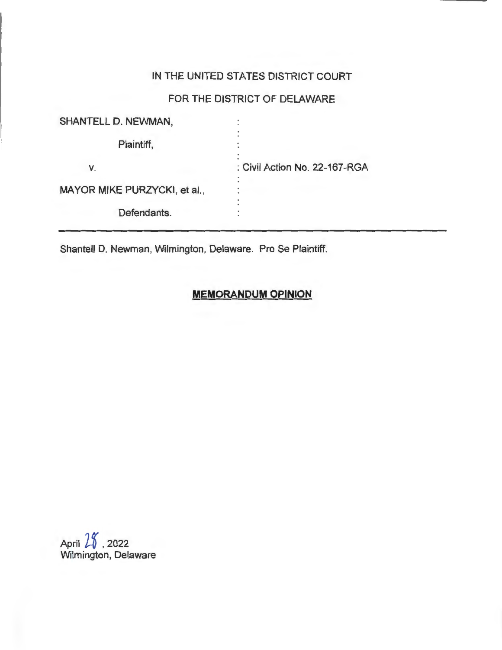## IN THE UNITED STATES DISTRICT COURT

# FOR THE DISTRICT OF DELAWARE

| <b>SHANTELL D. NEWMAN,</b>   |                               |
|------------------------------|-------------------------------|
| Plaintiff,                   |                               |
| V.                           | : Civil Action No. 22-167-RGA |
| MAYOR MIKE PURZYCKI, et al., |                               |
| Defendants.                  |                               |

Shantell D. Newman, Wilmington, Delaware. Pro Se Plaintiff.

## **MEMORANDUM OPINION**

April  $25$ , 2022 Wilmington, Delaware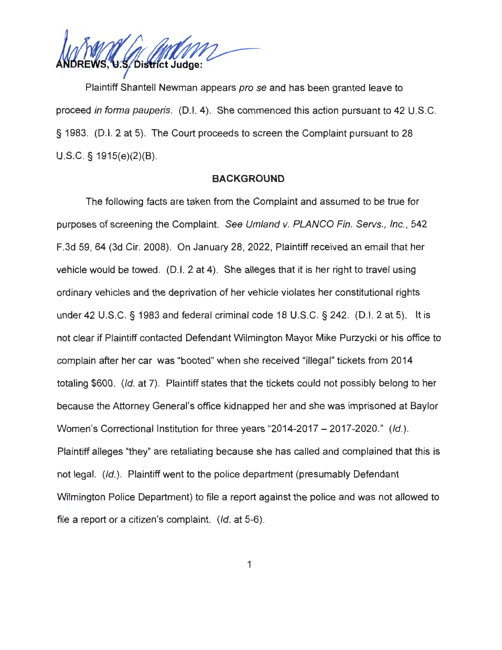S/District Judge:

Plaintiff Shantell Newman appears pro se and has been granted leave to proceed in forma pauperis. (D.I. 4). She commenced this action pursuant to 42 U.S.C. § 1983. (D.I. 2 at 5). The Court proceeds to screen the Complaint pursuant to 28 U.S.C. § 1915(e)(2)(B).

### **BACKGROUND**

The following facts are taken from the Complaint and assumed to be true for purposes of screening the Complaint. See Umland v. PLANCO Fin. Servs., Inc., 542 F.3d 59, 64 (3d Cir. 2008). On January 28, 2022, Plaintiff received an email that her vehicle would be towed. (D.I. 2 at 4). She alleges that it is her right to travel using ordinary vehicles and the deprivation of her vehicle violates her constitutional rights under 42 U.S.C. § 1983 and federal criminal code 18 U.S.C. § 242. (D.I. 2 at 5). It is not clear if Plaintiff contacted Defendant Wilmington Mayor Mike Purzycki or his office to complain after her car was "booted" when she received "illegal" tickets from 2014 totaling \$600. (Id. at 7). Plaintiff states that the tickets could not possibly belong to her because the Attorney General's office kidnapped her and she was imprisoned at Baylor Women's Correctional Institution for three years "2014-2017 – 2017-2020." (Id.). Plaintiff alleges "they" are retaliating because she has called and complained that this is not legal. (Id.). Plaintiff went to the police department (presumably Defendant Wilmington Police Department) to file a report against the police and was not allowed to file a report or a citizen's complaint. (Id. at 5-6).

1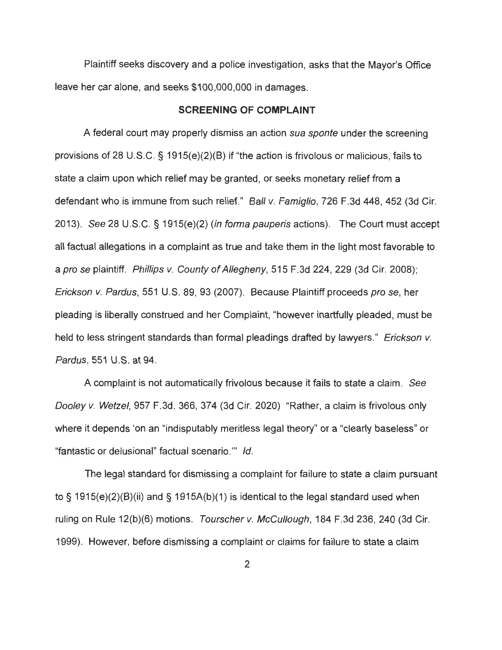Plaintiff seeks discovery and a police investigation, asks that the Mayor's Office leave her car alone, and seeks \$100,000,000 in damages.

#### **SCREENING OF COMPLAINT**

A federal court may properly dismiss an action sua sponte under the screening provisions of 28 U.S.C. § 1915(e)(2)(B) if "the action is frivolous or malicious, fails to state a claim upon which relief may be granted, or seeks monetary relief from a defendant who is immune from such relief." Ball v. Famiglio, 726 F.3d 448, 452 (3d Cir. 2013). See 28 U.S.C. § 1915(e)(2) (in forma pauperis actions). The Court must accept all factual allegations in a complaint as true and take them in the light most favorable to a pro se plaintiff. Phillips v. County of Allegheny, 515 F.3d 224, 229 (3d Cir. 2008); Erickson v. Pardus, 551 U.S. 89, 93 (2007). Because Plaintiff proceeds pro se, her pleading is liberally construed and her Complaint, "however inartfully pleaded, must be held to less stringent standards than formal pleadings drafted by lawyers." Erickson v. Pardus, 551 U.S. at 94.

A complaint is not automatically frivolous because it fails to state a claim. See Dooley v. Wetzel, 957 F.3d. 366, 374 (3d Cir. 2020) "Rather, a claim is frivolous only where it depends 'on an "indisputably meritless legal theory" or a "clearly baseless" or "fantastic or delusional" factual scenario."' Id.

The legal standard for dismissing a complaint for failure to state a claim pursuant to§ 1915(e)(2)(B)(ii) and§ 1915A(b)(1) is identical to the legal standard used when ruling on Rule 12(b)(6) motions. Tourscher v. McCullough, 184 F.3d 236, 240 (3d Cir. 1999). However, before dismissing a complaint or claims for failure to state a claim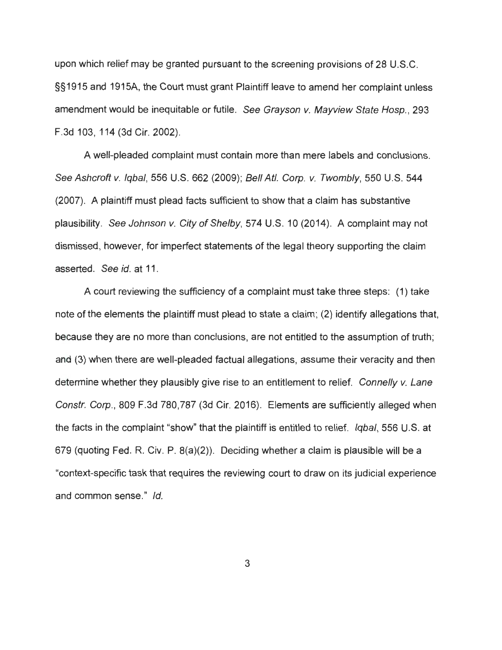upon which relief may be granted pursuant to the screening provisions of 28 U.S.C. §§1915 and 1915A, the Court must grant Plaintiff leave to amend her complaint unless amendment would be inequitable or futile. See Grayson v. Mayview State Hosp., 293 F.3d 103, 114 (3d Cir. 2002).

A well-pleaded complaint must contain more than mere labels and conclusions. See Ashcroft v. Iqbal, 556 U.S. 662 (2009); Bell Atl. Corp. v. Twombly, 550 U.S. 544 (2007). A plaintiff must plead facts sufficient to show that a claim has substantive plausibility. See Johnson v. City of Shelby, 574 U.S. 10 (2014). A complaint may not dismissed, however, for imperfect statements of the legal theory supporting the claim asserted. See id. at 11 .

A court reviewing the sufficiency of a complaint must take three steps: (1) take note of the elements the plaintiff must plead to state a claim; (2) identify allegations that, because they are no more than conclusions, are not entitled to the assumption of truth ; and (3) when there are well-pleaded factual allegations, assume their veracity and then determine whether they plausibly give rise to an entitlement to relief. Connelly v. Lane Constr. Corp., 809 F.3d 780,787 (3d Cir. 2016). Elements are sufficiently alleged when the facts in the complaint "show" that the plaintiff is entitled to relief. *Igbal*, 556 U.S. at 679 (quoting Fed. R. Civ. P. 8(a)(2)). Deciding whether a claim is plausible will be a "context-specific task that requires the reviewing court to draw on its judicial experience and common sense." Id.

3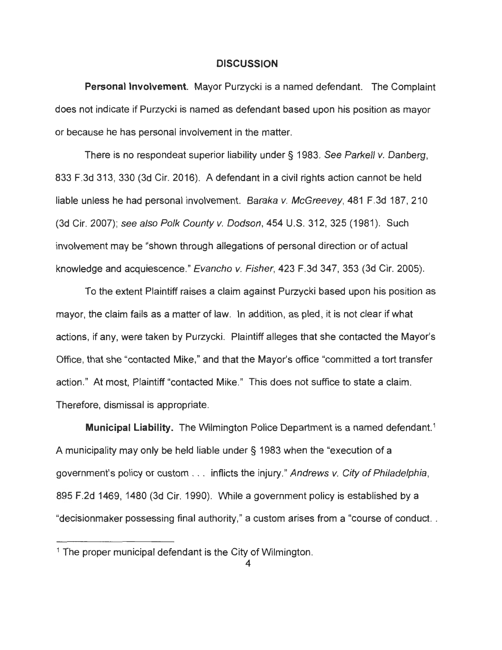#### **DISCUSSION**

**Personal Involvement.** Mayor Purzycki is a named defendant. The Complaint does not indicate if Purzycki is named as defendant based upon his position as mayor or because he has personal involvement in the matter.

There is no respondeat superior liability under § 1983. See Parkell v. Danberg, 833 F.3d 313, 330 (3d Cir. 2016). A defendant in a civil rights action cannot be held liable unless he had personal involvement. Baraka v. McGreevey, 481 F.3d 187, 210 (3d Cir. 2007); see also Polk County v. Dodson, 454 U.S. 312, 325 (1981). Such involvement may be "shown through allegations of personal direction or of actual knowledge and acquiescence." Evancho v. Fisher, 423 F.3d 347, 353 (3d Cir. 2005).

To the extent Plaintiff raises a claim against Purzycki based upon his position as mayor, the claim fails as a matter of law. In addition, as pied, it is not clear if what actions, if any, were taken by Purzycki. Plaintiff alleges that she contacted the Mayor's Office, that she "contacted Mike," and that the Mayor's office "committed a tort transfer action." At most, Plaintiff "contacted Mike." This does not suffice to state a claim. Therefore, dismissal is appropriate.

**Municipal Liability.** The Wilmington Police Department is a named defendant.<sup>1</sup> A municipality may only be held liable under § 1983 when the "execution of a government's policy or custom . . . inflicts the injury." Andrews v. City of Philadelphia, 895 F.2d 1469, 1480 (3d Cir. 1990). While a government policy is established by a "decisionmaker possessing final authority," a custom arises from a "course of conduct. .

 $1$  The proper municipal defendant is the City of Wilmington.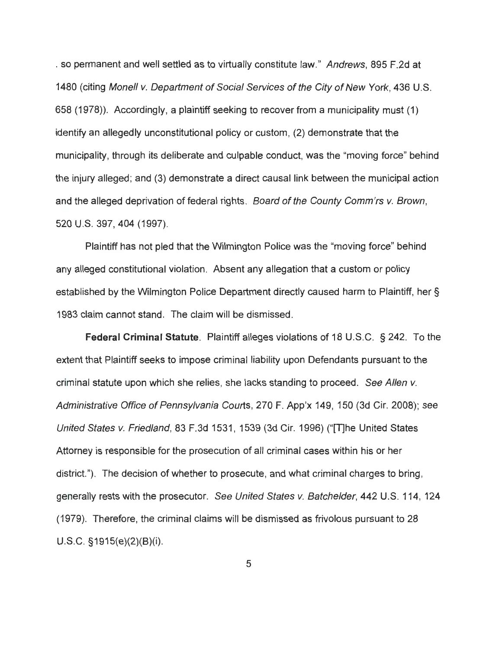. so permanent and well settled as to virtually constitute law." Andrews, 895 F.2d at 1480 (citing Monell v. Department of Social Services of the City of New York, 436 U.S. 658 (1978)). Accordingly, a plaintiff seeking to recover from a municipality must (1) identify an allegedly unconstitutional policy or custom, (2) demonstrate that the municipality, through its deliberate and culpable conduct, was the "moving force" behind the injury alleged; and (3) demonstrate a direct causal link between the municipal action and the alleged deprivation of federal rights. Board of the County Comm'rs v. Brown, 520 U.S. 397, 404 (1997).

Plaintiff has not pied that the Wilmington Police was the "moving force" behind any alleged constitutional violation. Absent any allegation that a custom or policy established by the Wilmington Police Department directly caused harm to Plaintiff, her § 1983 claim cannot stand. The claim will be dismissed.

**Federal Criminal Statute.** Plaintiff alleges violations of 18 U.S.C. § 242. To the extent that Plaintiff seeks to impose criminal liability upon Defendants pursuant to the criminal statute upon which she relies, she lacks standing to proceed. See Allen v. Administrative Office of Pennsylvania Courts, 270 F. App'x 149, 150 (3d Cir. 2008); see United States v. Friedland, 83 F.3d 1531 , 1539 (3d Cir. 1996) ("[T]he United States Attorney is responsible for the prosecution of all criminal cases within his or her district."). The decision of whether to prosecute, and what criminal charges to bring, generally rests with the prosecutor. See United States v. Batchelder, 442 U.S. 114, 124 (1979). Therefore, the criminal claims will be dismissed as frivolous pursuant to 28 U.S.C. §1915(e)(2)(B)(i).

5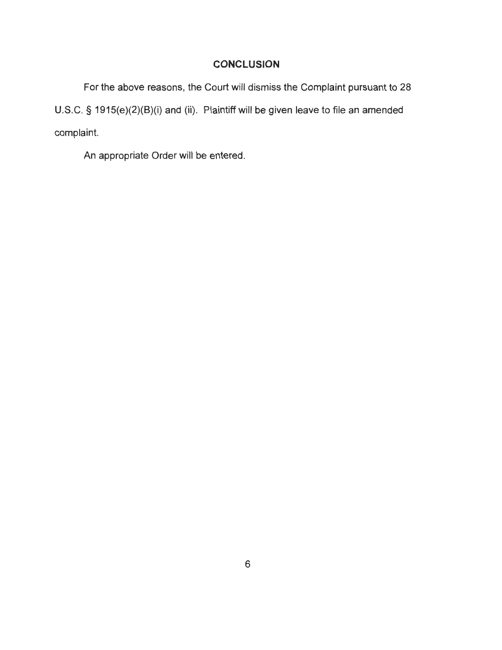### **CONCLUSION**

For the above reasons, the Court will dismiss the Complaint pursuant to 28 U.S.C. § 1915(e)(2)(B)(i) and (ii). Plaintiff will be given leave to file an amended complaint.

An appropriate Order will be entered.